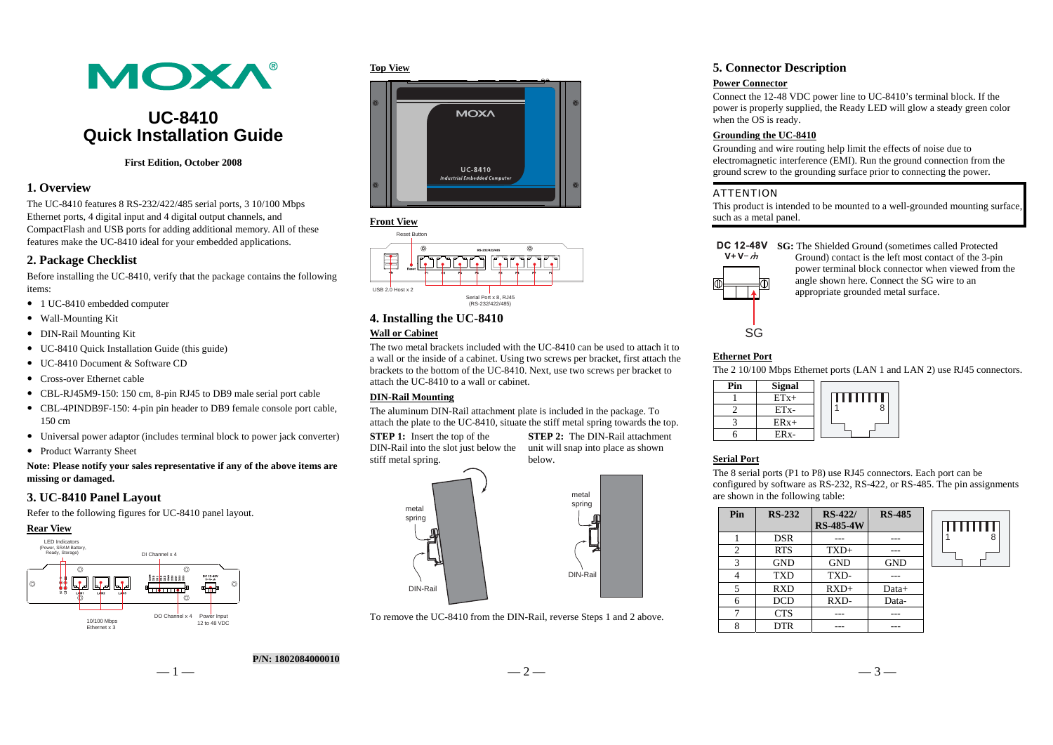# **MOXA®**

## **UC-8410 Quick Installation Guide**

#### **First Edition, October 2008**

## **1. Overview**

The UC-8410 features 8 RS-232/422/485 serial ports, 3 10/100 Mbps Ethernet ports, 4 digital input and 4 digital output channels, and CompactFlash and USB ports for adding additional memory. All of these features make the UC-8410 ideal for your embedded applications.

## **2. Package Checklist**

Before installing the UC-8410, verify that the package contains the following items:

- 1 UC-8410 embedded computer
- Wall-Mounting Kit
- DIN-Rail Mounting Kit
- UC-8410 Quick Installation Guide (this guide)
- UC-8410 Document & Software CD
- Cross-over Ethernet cable
- CBL-RJ45M9-150: 150 cm, 8-pin RJ45 to DB9 male serial port cable
- CBL-4PINDB9F-150: 4-pin pin header to DB9 female console port cable, 150 cm
- Universal power adaptor (includes terminal block to power jack converter)
- Product Warranty Sheet

#### **Note: Please notify your sales representative if any of the above items are missing or damaged.**

## **3. UC-8410 Panel Layout**

Refer to the following figures for UC-8410 panel layout.



#### **Top View**





## **4. Installing the UC-8410**

## **Wall or Cabinet**

The two metal brackets included with the UC-8410 can be used to attach it to a wall or the inside of a cabinet. Using two screws per bracket, first attach the brackets to the bottom of the UC-8410. Next, use two screws per bracket to attach the UC-8410 to a wall or cabinet.

#### **DIN-Rail Mounting**

The aluminum DIN-Rail attachment plate is included in the package. To attach the plate to the UC-8410, situate the stiff metal spring towards the top.

**STEP 1:** Insert the top of the stiff metal spring.

DIN-Rail into the slot just below the unit will snap into place as shown **STEP 2:** The DIN-Rail attachment below.



To remove the UC-8410 from the DIN-Rail, reverse Steps 1 and 2 above.

## **5. Connector Description**

#### **Power Connector**

Connect the 12-48 VDC power line to UC-8410's terminal block. If the power is properly supplied, the Ready LED will glow a steady green color when the OS is ready.

## **Grounding the UC-8410**

Grounding and wire routing help limit the effects of noise due to electromagnetic interference (EMI). Run the ground connection from the ground screw to the grounding surface prior to connecting the power.

#### ATTENTION

This product is intended to be mounted to a well-grounded mounting surface, such as a metal panel.

**DC 12-48V** SG: The Shielded Ground (sometimes called Protected



Ground) contact is the left most contact of the 3-pin power terminal block connector when viewed from the angle shown here. Connect the SG wire to an appropriate grounded metal surface.

## **Ethernet Port**

The 2 10/100 Mbps Ethernet ports (LAN 1 and LAN 2) use RJ45 connectors.

| Pin | <b>Signal</b>     |          |
|-----|-------------------|----------|
|     | $ETx+$            | .<br>. . |
|     | ET <sub>x</sub> - |          |
|     | $ERx+$            |          |
|     |                   |          |

## **Serial Port**

The 8 serial ports (P1 to P8) use RJ45 connectors. Each port can be configured by software as RS-232, RS-422, or RS-485. The pin assignments are shown in the following table:

| <b>RS-485</b> | <b>RS-422/</b><br><b>RS-485-4W</b> | <b>RS-232</b> | Pin |
|---------------|------------------------------------|---------------|-----|
|               |                                    | <b>DSR</b>    |     |
|               | $TXD+$                             | <b>RTS</b>    | 2   |
| <b>GND</b>    | <b>GND</b>                         | <b>GND</b>    | 3   |
|               | TXD-                               | <b>TXD</b>    |     |
| Data+         | $RXD+$                             | <b>RXD</b>    |     |
| Data-         | RXD-                               | <b>DCD</b>    | 6   |
|               |                                    | <b>CTS</b>    |     |
|               |                                    | DTR           |     |



— 1 —  $-3-$ **P/N: 1802084000010**

 $-3-$